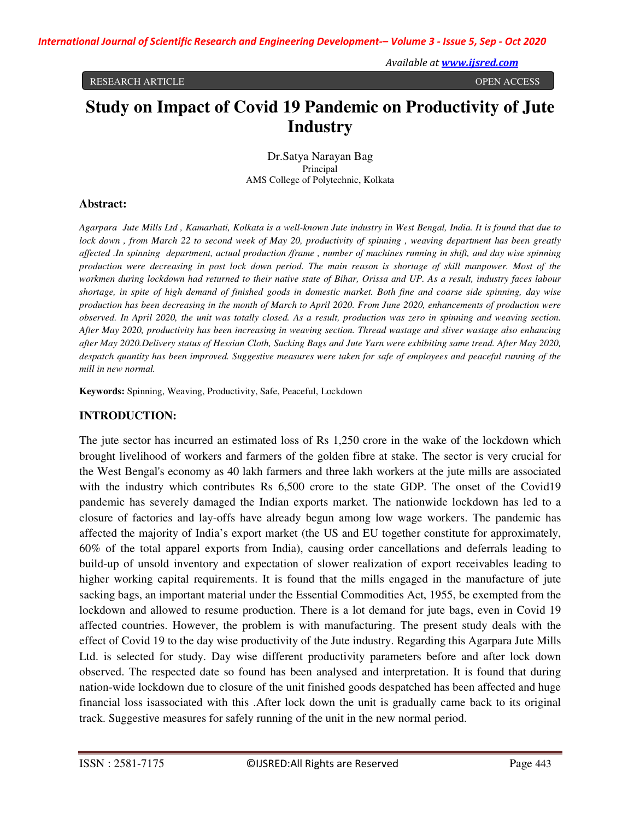#### RESEARCH ARTICLE OPEN ACCESS

# **Study on Impact of Covid 19 Pandemic on Productivity of Jute Industry**

Dr.Satya Narayan Bag Principal AMS College of Polytechnic, Kolkata

## **Abstract:**

*Agarpara Jute Mills Ltd , Kamarhati, Kolkata is a well-known Jute industry in West Bengal, India. It is found that due to lock down , from March 22 to second week of May 20, productivity of spinning , weaving department has been greatly affected .In spinning department, actual production /frame , number of machines running in shift, and day wise spinning production were decreasing in post lock down period. The main reason is shortage of skill manpower. Most of the workmen during lockdown had returned to their native state of Bihar, Orissa and UP. As a result, industry faces labour shortage, in spite of high demand of finished goods in domestic market. Both fine and coarse side spinning, day wise production has been decreasing in the month of March to April 2020. From June 2020, enhancements of production were observed. In April 2020, the unit was totally closed. As a result, production was zero in spinning and weaving section. After May 2020, productivity has been increasing in weaving section. Thread wastage and sliver wastage also enhancing after May 2020.Delivery status of Hessian Cloth, Sacking Bags and Jute Yarn were exhibiting same trend. After May 2020, despatch quantity has been improved. Suggestive measures were taken for safe of employees and peaceful running of the mill in new normal.* 

**Keywords:** Spinning, Weaving, Productivity, Safe, Peaceful, Lockdown

## **INTRODUCTION:**

The jute sector has incurred an estimated loss of Rs 1,250 crore in the wake of the lockdown which brought livelihood of workers and farmers of the golden fibre at stake. The sector is very crucial for the West Bengal's economy as 40 lakh farmers and three lakh workers at the jute mills are associated with the industry which contributes Rs 6,500 crore to the state GDP. The onset of the Covid19 pandemic has severely damaged the Indian exports market. The nationwide lockdown has led to a closure of factories and lay-offs have already begun among low wage workers. The pandemic has affected the majority of India's export market (the US and EU together constitute for approximately, 60% of the total apparel exports from India), causing order cancellations and deferrals leading to build-up of unsold inventory and expectation of slower realization of export receivables leading to higher working capital requirements. It is found that the mills engaged in the manufacture of jute sacking bags, an important material under the Essential Commodities Act, 1955, be exempted from the lockdown and allowed to resume production. There is a lot demand for jute bags, even in Covid 19 affected countries. However, the problem is with manufacturing. The present study deals with the effect of Covid 19 to the day wise productivity of the Jute industry. Regarding this Agarpara Jute Mills Ltd. is selected for study. Day wise different productivity parameters before and after lock down observed. The respected date so found has been analysed and interpretation. It is found that during nation-wide lockdown due to closure of the unit finished goods despatched has been affected and huge financial loss isassociated with this .After lock down the unit is gradually came back to its original track. Suggestive measures for safely running of the unit in the new normal period.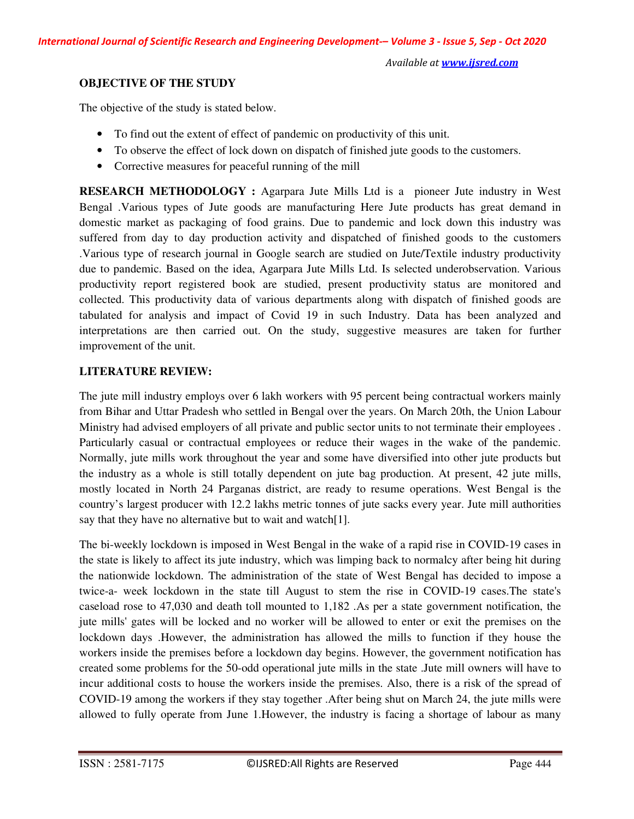# **OBJECTIVE OF THE STUDY**

The objective of the study is stated below.

- To find out the extent of effect of pandemic on productivity of this unit.
- To observe the effect of lock down on dispatch of finished jute goods to the customers.
- Corrective measures for peaceful running of the mill

**RESEARCH METHODOLOGY :** Agarpara Jute Mills Ltd is a pioneer Jute industry in West Bengal .Various types of Jute goods are manufacturing Here Jute products has great demand in domestic market as packaging of food grains. Due to pandemic and lock down this industry was suffered from day to day production activity and dispatched of finished goods to the customers .Various type of research journal in Google search are studied on Jute/Textile industry productivity due to pandemic. Based on the idea, Agarpara Jute Mills Ltd. Is selected underobservation. Various productivity report registered book are studied, present productivity status are monitored and collected. This productivity data of various departments along with dispatch of finished goods are tabulated for analysis and impact of Covid 19 in such Industry. Data has been analyzed and interpretations are then carried out. On the study, suggestive measures are taken for further improvement of the unit.

# **LITERATURE REVIEW:**

The jute mill industry employs over 6 lakh workers with 95 percent being contractual workers mainly from Bihar and Uttar Pradesh who settled in Bengal over the years. On March 20th, the Union Labour Ministry had advised employers of all private and public sector units to not terminate their employees . Particularly casual or contractual employees or reduce their wages in the wake of the pandemic. Normally, jute mills work throughout the year and some have diversified into other jute products but the industry as a whole is still totally dependent on jute bag production. At present, 42 jute mills, mostly located in North 24 Parganas district, are ready to resume operations. West Bengal is the country's largest producer with 12.2 lakhs metric tonnes of jute sacks every year. Jute mill authorities say that they have no alternative but to wait and watch[1].

The bi-weekly lockdown is imposed in West Bengal in the wake of a rapid rise in COVID-19 cases in the state is likely to affect its jute industry, which was limping back to normalcy after being hit during the nationwide lockdown. The administration of the state of West Bengal has decided to impose a twice-a- week lockdown in the state till August to stem the rise in COVID-19 cases.The state's caseload rose to 47,030 and death toll mounted to 1,182 .As per a state government notification, the jute mills' gates will be locked and no worker will be allowed to enter or exit the premises on the lockdown days .However, the administration has allowed the mills to function if they house the workers inside the premises before a lockdown day begins. However, the government notification has created some problems for the 50-odd operational jute mills in the state .Jute mill owners will have to incur additional costs to house the workers inside the premises. Also, there is a risk of the spread of COVID-19 among the workers if they stay together .After being shut on March 24, the jute mills were allowed to fully operate from June 1.However, the industry is facing a shortage of labour as many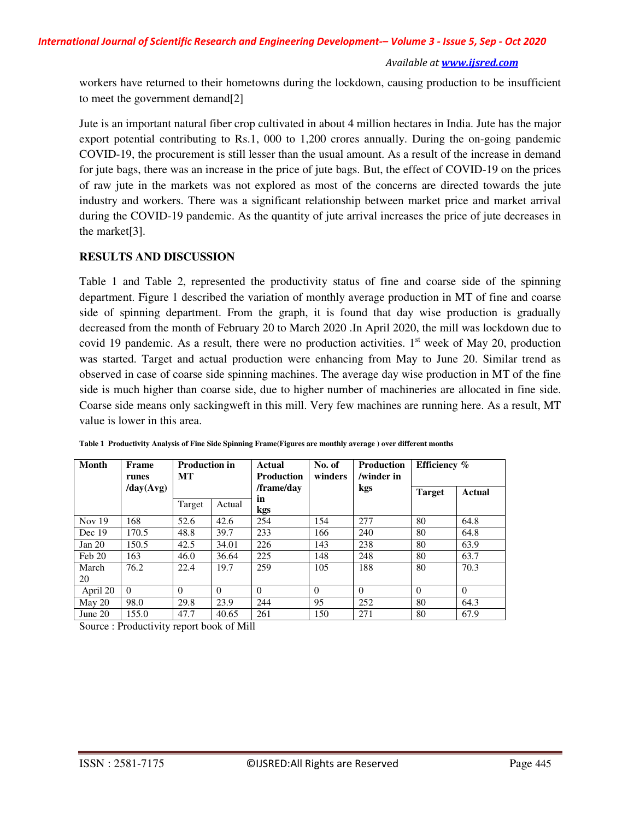workers have returned to their hometowns during the lockdown, causing production to be insufficient to meet the government demand[2]

Jute is an important natural fiber crop cultivated in about 4 million hectares in India. Jute has the major export potential contributing to Rs.1, 000 to 1,200 crores annually. During the on-going pandemic COVID-19, the procurement is still lesser than the usual amount. As a result of the increase in demand for jute bags, there was an increase in the price of jute bags. But, the effect of COVID-19 on the prices of raw jute in the markets was not explored as most of the concerns are directed towards the jute industry and workers. There was a significant relationship between market price and market arrival during the COVID-19 pandemic. As the quantity of jute arrival increases the price of jute decreases in the market[3].

## **RESULTS AND DISCUSSION**

Table 1 and Table 2, represented the productivity status of fine and coarse side of the spinning department. Figure 1 described the variation of monthly average production in MT of fine and coarse side of spinning department. From the graph, it is found that day wise production is gradually decreased from the month of February 20 to March 2020 .In April 2020, the mill was lockdown due to covid 19 pandemic. As a result, there were no production activities.  $1<sup>st</sup>$  week of May 20, production was started. Target and actual production were enhancing from May to June 20. Similar trend as observed in case of coarse side spinning machines. The average day wise production in MT of the fine side is much higher than coarse side, due to higher number of machineries are allocated in fine side. Coarse side means only sackingweft in this mill. Very few machines are running here. As a result, MT value is lower in this area.

| <b>Month</b> | Frame<br>runes | <b>Production in</b><br><b>MT</b> |          | Actual<br><b>Production</b> | No. of<br>winders | <b>Production</b><br>/winder in | Efficiency %  |          |
|--------------|----------------|-----------------------------------|----------|-----------------------------|-------------------|---------------------------------|---------------|----------|
|              | day(Avg)       |                                   |          | /frame/day                  |                   | kgs                             | <b>Target</b> | Actual   |
|              |                | Target                            | Actual   | in<br>kgs                   |                   |                                 |               |          |
| Nov $19$     | 168            | 52.6                              | 42.6     | 254                         | 154               | 277                             | 80            | 64.8     |
| Dec 19       | 170.5          | 48.8                              | 39.7     | 233                         | 166               | 240                             | 80            | 64.8     |
| Jan $20$     | 150.5          | 42.5                              | 34.01    | 226                         | 143               | 238                             | 80            | 63.9     |
| Feb20        | 163            | 46.0                              | 36.64    | 225                         | 148               | 248                             | 80            | 63.7     |
| March        | 76.2           | 22.4                              | 19.7     | 259                         | 105               | 188                             | 80            | 70.3     |
| 20           |                |                                   |          |                             |                   |                                 |               |          |
| April 20     | $\Omega$       | $\Omega$                          | $\Omega$ | $\theta$                    | $\Omega$          | $\Omega$                        | $\Omega$      | $\Omega$ |
| May 20       | 98.0           | 29.8                              | 23.9     | 244                         | 95                | 252                             | 80            | 64.3     |
| June $20$    | 155.0          | 47.7                              | 40.65    | 261                         | 150               | 271                             | 80            | 67.9     |

**Table 1 Productivity Analysis of Fine Side Spinning Frame(Figures are monthly average ) over different months** 

Source : Productivity report book of Mill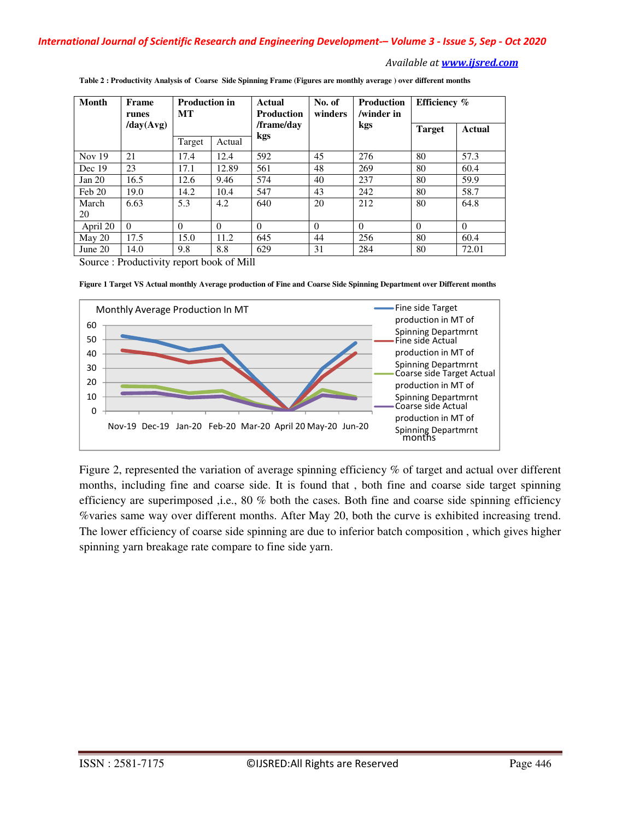| Month     | Frame<br>runes                    | <b>Production in</b><br><b>MT</b> |          | No. of<br>Actual<br>winders<br><b>Production</b> |          | <b>Production</b><br>/winder in | Efficiency %  |          |
|-----------|-----------------------------------|-----------------------------------|----------|--------------------------------------------------|----------|---------------------------------|---------------|----------|
|           | $\langle \text{day(Avg)} \rangle$ |                                   |          | /frame/day                                       |          | kgs                             | <b>Target</b> | Actual   |
|           |                                   | Target                            | Actual   | kgs                                              |          |                                 |               |          |
| Nov $19$  | 21                                | 17.4                              | 12.4     | 592                                              | 45       | 276                             | 80            | 57.3     |
| Dec 19    | 23                                | 17.1                              | 12.89    | 561                                              | 48       | 269                             | 80            | 60.4     |
| Jan 20    | 16.5                              | 12.6                              | 9.46     | 574                                              | 40       | 237                             | 80            | 59.9     |
| Feb 20    | 19.0                              | 14.2                              | 10.4     | 547                                              | 43       | 242                             | 80            | 58.7     |
| March     | 6.63                              | 5.3                               | 4.2      | 640                                              | 20       | 212                             | 80            | 64.8     |
| 20        |                                   |                                   |          |                                                  |          |                                 |               |          |
| April 20  | $\Omega$                          | $\Omega$                          | $\theta$ | $\Omega$                                         | $\Omega$ | $\theta$                        | $\theta$      | $\Omega$ |
| May $20$  | 17.5                              | 15.0                              | 11.2     | 645                                              | 44       | 256                             | 80            | 60.4     |
| June $20$ | 14.0                              | 9.8                               | 8.8      | 629                                              | 31       | 284                             | 80            | 72.01    |

**Table 2 : Productivity Analysis of Coarse Side Spinning Frame (Figures are monthly average ) over different months** 

Source : Productivity report book of Mill

**Figure 1 Target VS Actual monthly Average production of Fine and Coarse Side Spinning Department over Different months** 



Figure 2, represented the variation of average spinning efficiency % of target and actual over different months, including fine and coarse side. It is found that , both fine and coarse side target spinning efficiency are superimposed ,i.e., 80 % both the cases. Both fine and coarse side spinning efficiency %varies same way over different months. After May 20, both the curve is exhibited increasing trend. The lower efficiency of coarse side spinning are due to inferior batch composition , which gives higher spinning yarn breakage rate compare to fine side yarn.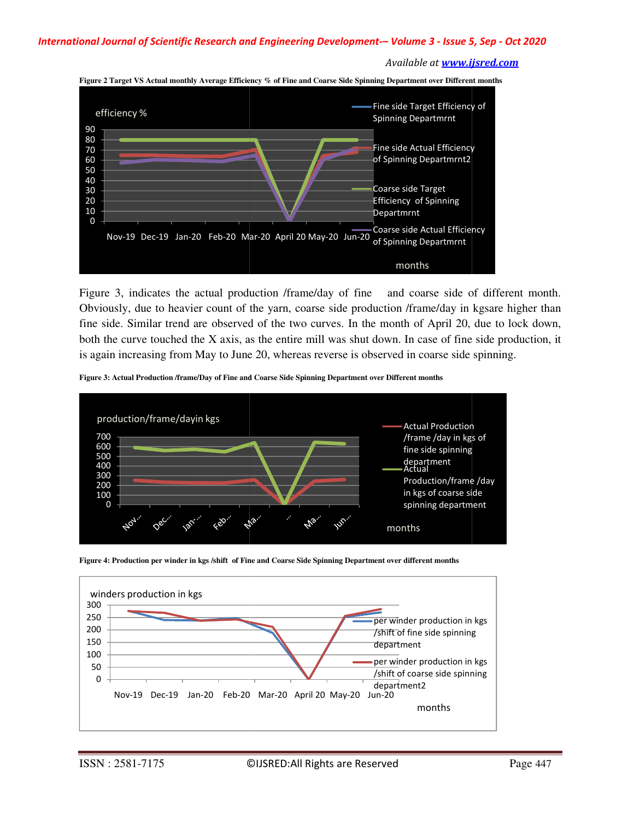



Figure 3, indicates the actual production /frame/day of fine and coarse side of different month. Obviously, due to heavier count of the yarn, coarse side production /frame/day in kgsare higher than fine side. Similar trend are observed of the two curves. In the month of April 20, due to lock down, both the curve touched the X axis, as the entire mill was shut down. In case of fine side production, it is again increasing from May to June 20, whereas reverse is observed in coarse side spinning. Figure 3, indicates the actual production /frame/day of fine and coarse side of different month.<br>Obviously, due to heavier count of the yarn, coarse side production /frame/day in kgsare higher than<br>fine side. Similar trend

**Figure 3: Actual Production /frame/Day of Fine and Coarse Side Spinning Department over Different months**





Figure 4: Production per winder in kgs /shift of Fine and Coarse Side Spinning Department over different months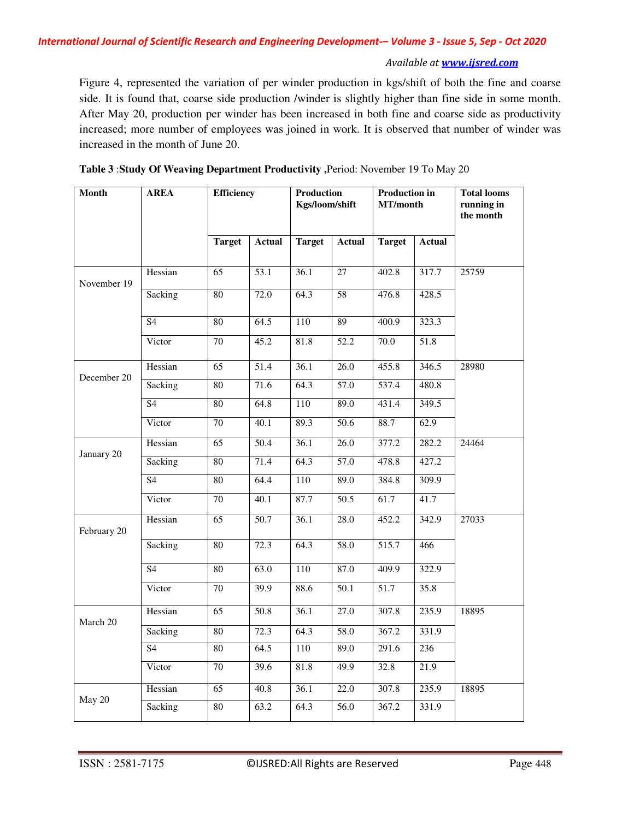Figure 4, represented the variation of per winder production in kgs/shift of both the fine and coarse side. It is found that, coarse side production /winder is slightly higher than fine side in some month. After May 20, production per winder has been increased in both fine and coarse side as productivity increased; more number of employees was joined in work. It is observed that number of winder was increased in the month of June 20.

| <b>Month</b> | <b>AREA</b>     | <b>Efficiency</b> |                   | Production<br>Kgs/loom/shift |                   | <b>Production in</b><br>MT/month |               | <b>Total looms</b><br>running in<br>the month |
|--------------|-----------------|-------------------|-------------------|------------------------------|-------------------|----------------------------------|---------------|-----------------------------------------------|
|              |                 | <b>Target</b>     | <b>Actual</b>     | <b>Target</b>                | <b>Actual</b>     | <b>Target</b>                    | <b>Actual</b> |                                               |
| November 19  | Hessian         | $\overline{65}$   | $\overline{53.1}$ | 36.1                         | $\overline{27}$   | 402.8                            | 317.7         | 25759                                         |
|              | Sacking         | 80                | 72.0              | 64.3                         | $\overline{58}$   | 476.8                            | 428.5         |                                               |
|              | $\overline{S4}$ | 80                | 64.5              | 110                          | 89                | 400.9                            | 323.3         |                                               |
|              | Victor          | 70                | 45.2              | 81.8                         | 52.2              | 70.0                             | 51.8          |                                               |
|              | Hessian         | $\overline{65}$   | 51.4              | 36.1                         | 26.0              | 455.8                            | 346.5         | 28980                                         |
| December 20  | Sacking         | $\overline{80}$   | 71.6              | 64.3                         | $\overline{57.0}$ | 537.4                            | 480.8         |                                               |
|              | $\overline{S4}$ | 80                | 64.8              | 110                          | 89.0              | 431.4                            | 349.5         |                                               |
|              | Victor          | 70                | 40.1              | 89.3                         | 50.6              | 88.7                             | 62.9          |                                               |
| January 20   | Hessian         | $\overline{65}$   | 50.4              | 36.1                         | $\overline{26.0}$ | 377.2                            | 282.2         | 24464                                         |
|              | Sacking         | 80                | 71.4              | 64.3                         | $\overline{57.0}$ | 478.8                            | 427.2         |                                               |
|              | S <sub>4</sub>  | 80                | 64.4              | 110                          | 89.0              | 384.8                            | 309.9         |                                               |
|              | Victor          | 70                | 40.1              | 87.7                         | 50.5              | 61.7                             | 41.7          |                                               |
| February 20  | Hessian         | $\overline{65}$   | 50.7              | 36.1                         | 28.0              | 452.2                            | 342.9         | 27033                                         |
|              | Sacking         | 80                | 72.3              | 64.3                         | 58.0              | 515.7                            | 466           |                                               |
|              | <b>S4</b>       | 80                | 63.0              | 110                          | 87.0              | 409.9                            | 322.9         |                                               |
|              | Victor          | 70                | 39.9              | 88.6                         | 50.1              | 51.7                             | 35.8          |                                               |
| March 20     | Hessian         | 65                | 50.8              | 36.1                         | 27.0              | 307.8                            | 235.9         | 18895                                         |
|              | Sacking         | $\overline{80}$   | 72.3              | 64.3                         | 58.0              | 367.2                            | 331.9         |                                               |
|              | S <sub>4</sub>  | $\overline{80}$   | 64.5              | 110                          | 89.0              | 291.6                            | 236           |                                               |
|              | Victor          | 70                | 39.6              | 81.8                         | 49.9              | 32.8                             | 21.9          |                                               |
| May 20       | Hessian         | 65                | 40.8              | 36.1                         | 22.0              | 307.8                            | 235.9         | 18895                                         |
|              | Sacking         | 80                | 63.2              | 64.3                         | $\overline{56.0}$ | 367.2                            | 331.9         |                                               |

| Table 3: Study Of Weaving Department Productivity, Period: November 19 To May 20 |
|----------------------------------------------------------------------------------|
|----------------------------------------------------------------------------------|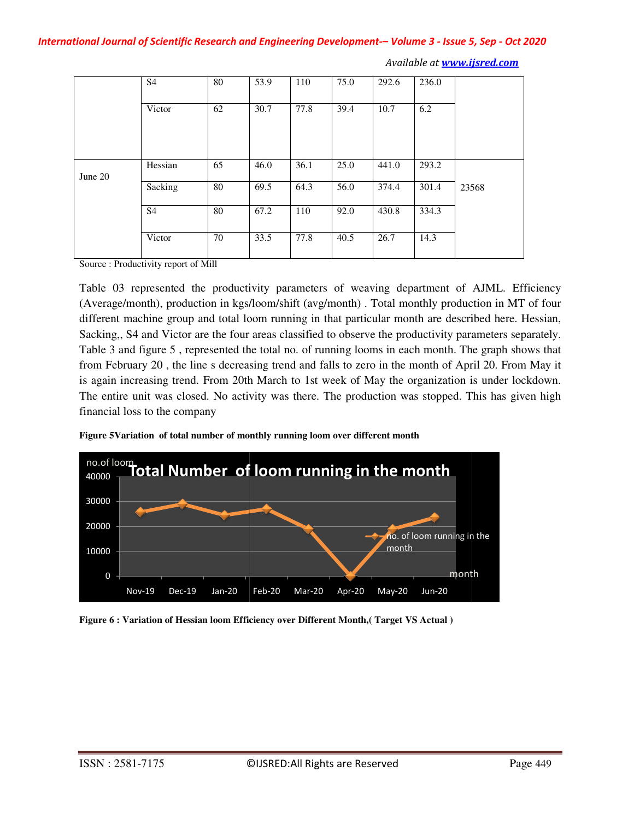|         | S <sub>4</sub> | 80 | 53.9 | 110  | 75.0 | 292.6 | 236.0 |       |
|---------|----------------|----|------|------|------|-------|-------|-------|
|         |                |    |      |      |      |       |       |       |
|         | Victor         | 62 | 30.7 | 77.8 | 39.4 | 10.7  | 6.2   |       |
|         |                |    |      |      |      |       |       |       |
|         |                |    |      |      |      |       |       |       |
|         |                |    |      |      |      |       |       |       |
|         | Hessian        | 65 | 46.0 | 36.1 | 25.0 | 441.0 | 293.2 |       |
| June 20 |                |    |      |      |      |       |       |       |
|         | Sacking        | 80 | 69.5 | 64.3 | 56.0 | 374.4 | 301.4 | 23568 |
|         |                |    |      |      |      |       |       |       |
|         | S <sub>4</sub> | 80 | 67.2 | 110  | 92.0 | 430.8 | 334.3 |       |
|         |                |    |      |      |      |       |       |       |
|         | Victor         | 70 | 33.5 | 77.8 | 40.5 | 26.7  | 14.3  |       |
|         |                |    |      |      |      |       |       |       |

Source : Productivity report of Mill

Table 03 represented the productivity parameters of weaving department of AJML. Efficiency (Average/month), production in kgs/loom/shift (avg/month) . Total monthly production in MT of four Table 03 represented the productivity parameters of weaving department of AJML. Efficiency (Average/month), production in kgs/loom/shift (avg/month). Total monthly production in MT of four different machine group and total Sacking,, S4 and Victor are the four areas classified to observe the productivity parameters separately. Table 3 and figure 5 , represented the total no. of running looms in each month. The graph shows that from February 20 , the line s decreasing trend and falls to zero in the month of April 20. From May it is again increasing trend. From 20th March to 1st week of May the organization is under lockdown. The entire unit was closed. No activity was there. The production was stopped. This has given high financial loss to the company tor are the four areas classified to observe the productivity parameters separately.<br>
, represented the total no. of running looms in each month. The graph shows that<br>
ne line s decreasing trend and falls to zero in the mo 3 represented the productivity parameters of weaving department of e/month), production in kgs/loom/shift (avg/month). Total monthly production machine group and total loom running in that particular month are descented. S



Figure 5Variation of total number of monthly running loom over different month

**Figure 6 : Variation of Hessian loom Efficiency over Different Month,( Target VS Actual )**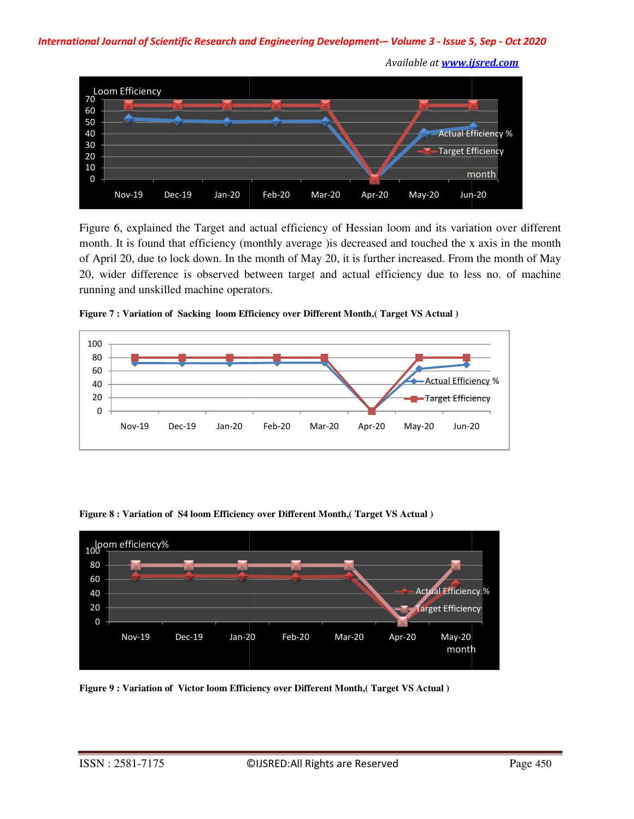### *International Journal of Scientific Research and Engineering Development al Development-– Volume 3 - Issue 5 5, Sep - Oct 2020*



Figure 6, explained the Target and actual efficiency of Hessian loom and its variation over different month. It is found that efficiency (monthly average )is decreased and touched the x axis in the month of April 20, due to lock down. In the month of May 20, it is further increased. From the month of May 20, wider difference is observed between target and actual efficiency due to less no. of machine running and unskilled machine operators. , explained the Target and actual efficiency of Hessian loom and its variation over different<br>t is found that efficiency (monthly average ) is decreased and touched the x axis in the month<br>20, due to lock down. In the mont Nov-19 Dec-19 Jan-20 Feb-20 Mar-20 Apr-20 May-20 Jun-20<br>re 6, explained the Target and actual efficiency of Hessian loom and its variatio<br>th. It is found that efficiency (monthly average ) is decreased and touched the x as



Figure 7 : Variation of Sacking loom Efficiency over Different Month, (Target VS Actual)





**Figure 9 : Variation of Victor loom Efficiency over Different Month,( Target VS Actual )**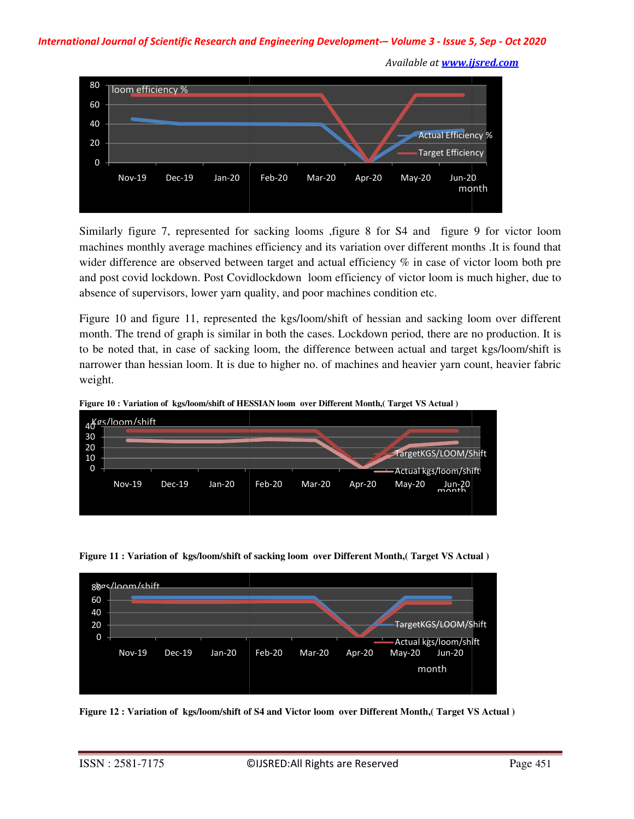*International Journal of Scientific Research and Engineering Development al Development-– Volume 3 - Issue 5 5, Sep - Oct 2020*



Similarly figure 7, represented for sacking looms , figure 8 for S4 and figure 9 for victor loom machines monthly average machines efficiency and its variation over different months .It is found that wider difference are observed between target and actual efficiency  $%$  in case of victor loom both pre and post covid lockdown. Post Covidlockdown loom efficiency of victor loom is much higher, due to absence of supervisors, lower yarn quality, and poor machines condition etc.

absence of supervisors, lower yarn quality, and poor machines condition etc.<br>Figure 10 and figure 11, represented the kgs/loom/shift of hessian and sacking loom over different month. The trend of graph is similar in both the cases. Lockdown period, there are no production. It is to be noted that, in case of sacking loom, the difference between actual and target kgs/loom/shift is narrower than hessian loom. It is due to higher no. of machines and heavier yarn count, heavier fabric weight. ith. The trend of graph is similar in both the cases. Lockdown period, there are no production. It is<br>e noted that, in case of sacking loom, the difference between actual and target kgs/loom/shift is<br>ower than hessian loom difference are observed between target and actual efficiency % in case of victo<br>ost covid lockdown. Post Covidlockdown loom efficiency of victor loom is muc<br>ce of supervisors, lower yarn quality, and poor machines conditio



**Figure 10 : Variation of kgs/loom/shift of HESSIAN loom over Different Month,( Target VS Actual ) kgs/loom/shift of HESSIAN Month,(** 





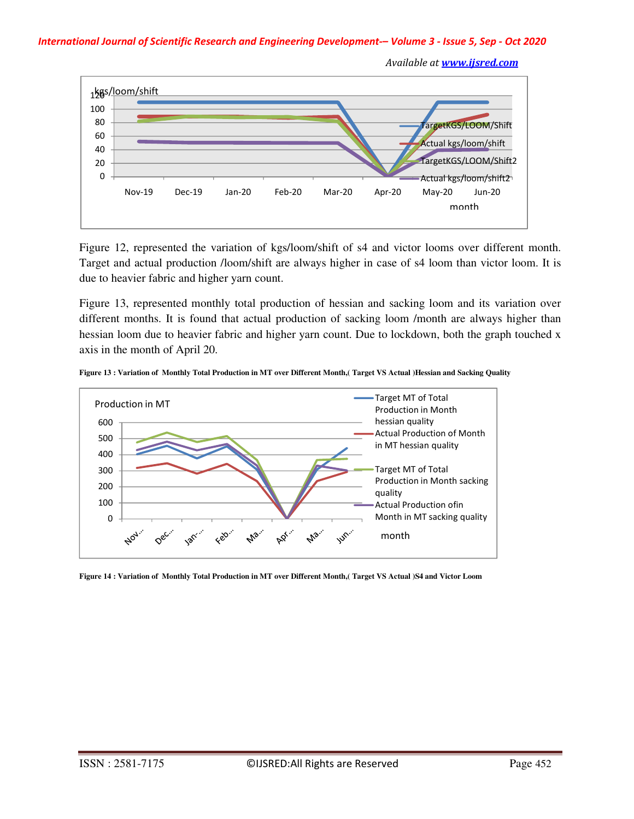#### *International Journal of Scientific Research and Engineering Development-– Volume 3 - Issue 5, Sep - Oct 2020*

 *Available at www.ijsred.com*



Figure 12, represented the variation of kgs/loom/shift of s4 and victor looms over different month. Target and actual production /loom/shift are always higher in case of s4 loom than victor loom. It is due to heavier fabric and higher yarn count.

Figure 13, represented monthly total production of hessian and sacking loom and its variation over different months. It is found that actual production of sacking loom /month are always higher than hessian loom due to heavier fabric and higher yarn count. Due to lockdown, both the graph touched x axis in the month of April 20.



**Figure 13 : Variation of Monthly Total Production in MT over Different Month,( Target VS Actual )Hessian and Sacking Quality** 

**Figure 14 : Variation of Monthly Total Production in MT over Different Month,( Target VS Actual )S4 and Victor Loom**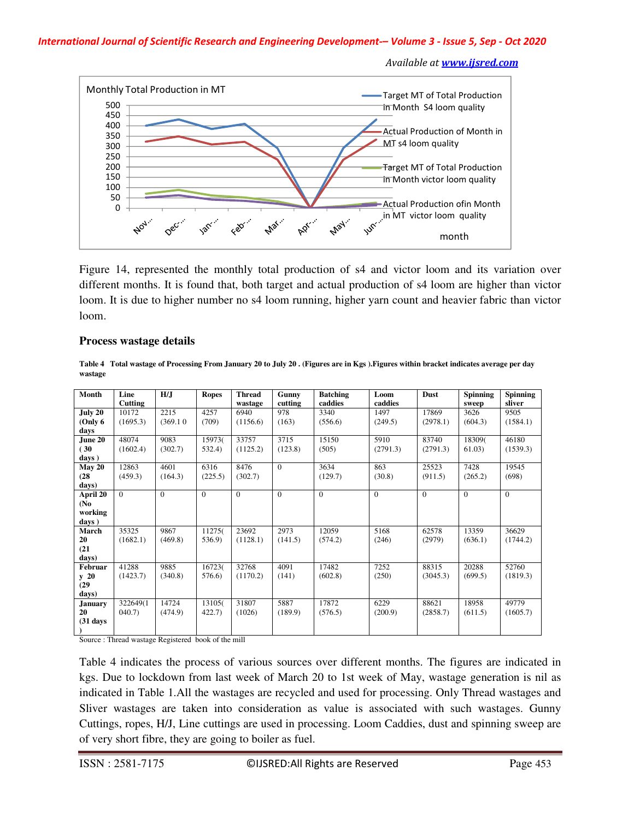#### *International Journal of Scientific Research and Engineering Development-– Volume 3 - Issue 5, Sep - Oct 2020*

 *Available at www.ijsred.com*



Figure 14, represented the monthly total production of s4 and victor loom and its variation over different months. It is found that, both target and actual production of s4 loom are higher than victor loom. It is due to higher number no s4 loom running, higher yarn count and heavier fabric than victor loom.

#### **Process wastage details**

**Table 4 Total wastage of Processing From January 20 to July 20 . (Figures are in Kgs ).Figures within bracket indicates average per day wastage** 

| Month             | Line           | H/J          | <b>Ropes</b> | <b>Thread</b> | Gunny    | <b>Batching</b> | Loom           | Dust     | Spinning | <b>Spinning</b> |
|-------------------|----------------|--------------|--------------|---------------|----------|-----------------|----------------|----------|----------|-----------------|
|                   | <b>Cutting</b> |              |              | wastage       | cutting  | caddies         | caddies        |          | sweep    | sliver          |
| July 20           | 10172          | 2215         | 4257         | 6940          | 978      | 3340            | 1497           | 17869    | 3626     | 9505            |
| (Only 6)          | (1695.3)       | (369.10)     | (709)        | (1156.6)      | (163)    | (556.6)         | (249.5)        | (2978.1) | (604.3)  | (1584.1)        |
| days              |                |              |              |               |          |                 |                |          |          |                 |
| June 20           | 48074          | 9083         | 15973(       | 33757         | 3715     | 15150           | 5910           | 83740    | 18309(   | 46180           |
| (30)              | (1602.4)       | (302.7)      | 532.4)       | (1125.2)      | (123.8)  | (505)           | (2791.3)       | (2791.3) | 61.03)   | (1539.3)        |
| days)             |                |              |              |               |          |                 |                |          |          |                 |
| May 20            | 12863          | 4601         | 6316         | 8476          | $\Omega$ | 3634            | 863            | 25523    | 7428     | 19545           |
| (28)              | (459.3)        | (164.3)      | (225.5)      | (302.7)       |          | (129.7)         | (30.8)         | (911.5)  | (265.2)  | (698)           |
| days)             |                |              |              |               |          |                 |                |          |          |                 |
| April $20$        | $\Omega$       | $\mathbf{0}$ | $\mathbf{0}$ | $\mathbf{0}$  | $\Omega$ | $\Omega$        | $\overline{0}$ | $\Omega$ | $\Omega$ | $\Omega$        |
| (N <sub>0</sub> ) |                |              |              |               |          |                 |                |          |          |                 |
| working           |                |              |              |               |          |                 |                |          |          |                 |
| days)             |                |              |              |               |          |                 |                |          |          |                 |
| March             | 35325          | 9867         | 11275(       | 23692         | 2973     | 12059           | 5168           | 62578    | 13359    | 36629           |
| 20                | (1682.1)       | (469.8)      | 536.9)       | (1128.1)      | (141.5)  | (574.2)         | (246)          | (2979)   | (636.1)  | (1744.2)        |
| (21)              |                |              |              |               |          |                 |                |          |          |                 |
| days)             |                |              |              |               |          |                 |                |          |          |                 |
| Februar           | 41288          | 9885         | 16723(       | 32768         | 4091     | 17482           | 7252           | 88315    | 20288    | 52760           |
| $y$ 20            | (1423.7)       | (340.8)      | 576.6)       | (1170.2)      | (141)    | (602.8)         | (250)          | (3045.3) | (699.5)  | (1819.3)        |
| (29)              |                |              |              |               |          |                 |                |          |          |                 |
| days)             |                |              |              |               |          |                 |                |          |          |                 |
| <b>January</b>    | 322649(1)      | 14724        | 13105(       | 31807         | 5887     | 17872           | 6229           | 88621    | 18958    | 49779           |
| 20                | $040.7$ )      | (474.9)      | 422.7)       | (1026)        | (189.9)  | (576.5)         | (200.9)        | (2858.7) | (611.5)  | (1605.7)        |
| $(31$ days        |                |              |              |               |          |                 |                |          |          |                 |
|                   |                |              |              |               |          |                 |                |          |          |                 |

Source : Thread wastage Registered book of the mill

Table 4 indicates the process of various sources over different months. The figures are indicated in kgs. Due to lockdown from last week of March 20 to 1st week of May, wastage generation is nil as indicated in Table 1.All the wastages are recycled and used for processing. Only Thread wastages and Sliver wastages are taken into consideration as value is associated with such wastages. Gunny Cuttings, ropes, H/J, Line cuttings are used in processing. Loom Caddies, dust and spinning sweep are of very short fibre, they are going to boiler as fuel.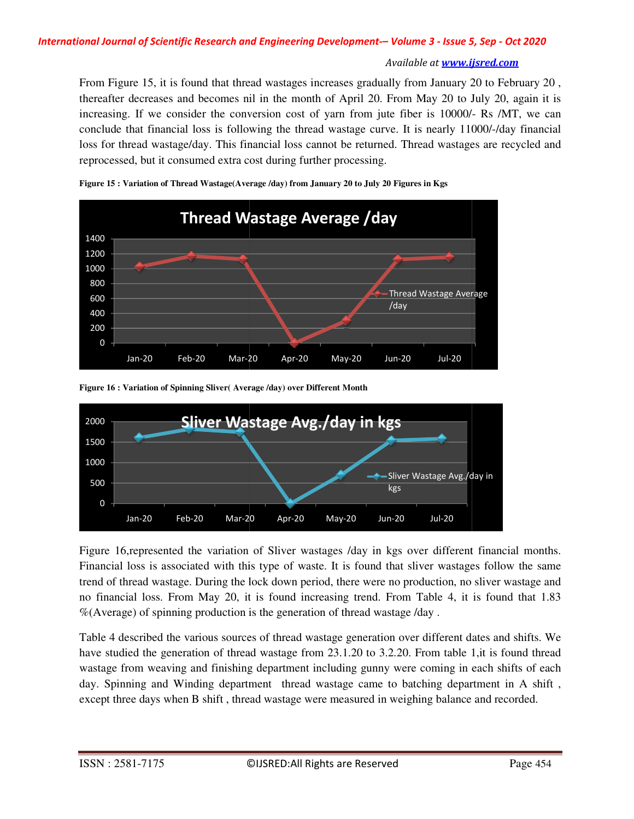From Figure 15, it is found that thread wastages increases gradually from January 20 to February 20 , thereafter decreases and becomes nil in the month of April 20. From May 20 to July 20, again it is From Figure 15, it is found that thread wastages increases gradually from January 20 to February 20, thereafter decreases and becomes nil in the month of April 20. From May 20 to July 20, again it is increasing. If we cons conclude that financial loss is following the thread wastage curve. It is nearly 11000/-/day financial conclude that financial loss is following the thread wastage curve. It is nearly 11000/-/day financial<br>loss for thread wastage/day. This financial loss cannot be returned. Thread wastages are recycled and reprocessed, but it consumed extra cost during further processing.



**Figure 15 : Variation of Thread Wastage(Average /day) from January 20 to July 20 Figures in Kgs**

**Figure 16 : Variation of Spinning Sliver( Average /day) over Different Month**



Figure 16, represented the variation of Sliver wastages /day in kgs over different financial months.<br>Financial loss is associated with this type of waste. It is found that sliver wastages follow the same<br>trend of thread wa Financial loss is associated with this type of waste. It is found that sliver wastages follow the same trend of thread wastage. During the lock down period, there were no production, no sliver wastage and no financial loss. From May 20, it is found increasing trend. From Table 4, it is found that 1.83  $%$ (Average) of spinning production is the generation of thread wastage /day .

Table 4 described the various sources of thread wastage generation over different dates and shifts. We have studied the generation of thread wastage from 23.1.20 to 3.2.20. From table 1, it is found thread wastage from weaving and finishing department including gunny were coming in each shifts of each day. Spinning and Winding department thread wastage came to batching department in A shift , Table 4 described the various sources of thread wastage generation over different dates and shifts. We have studied the generation of thread wastage from 23.1.20 to 3.2.20. From table 1, it is found thread wastage from wea thread wastage. During the lock down period, there were no production, no<br>icial loss. From May 20, it is found increasing trend. From Table 4, it is<br>age) of spinning production is the generation of thread wastage /day .<br>de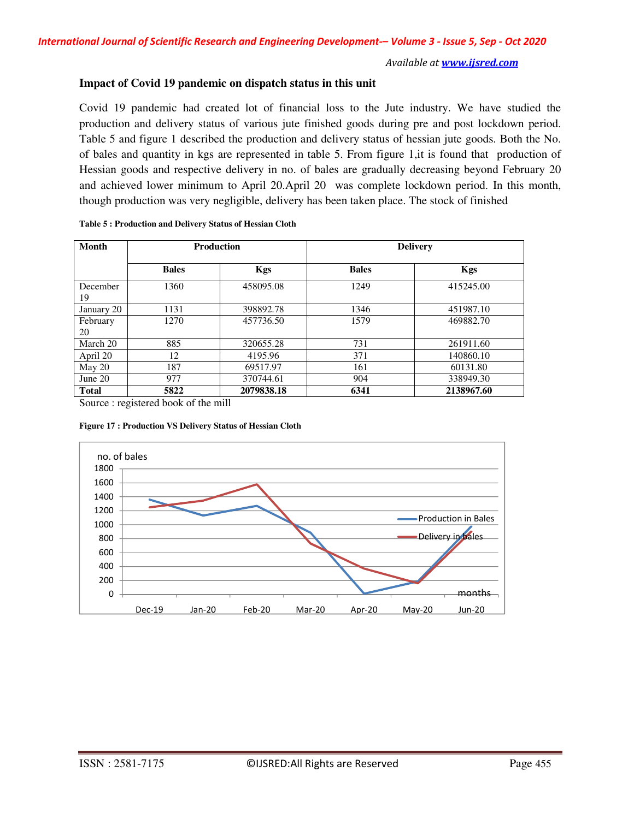## **Impact of Covid 19 pandemic on dispatch status in this unit**

Covid 19 pandemic had created lot of financial loss to the Jute industry. We have studied the production and delivery status of various jute finished goods during pre and post lockdown period. Table 5 and figure 1 described the production and delivery status of hessian jute goods. Both the No. of bales and quantity in kgs are represented in table 5. From figure 1,it is found that production of Hessian goods and respective delivery in no. of bales are gradually decreasing beyond February 20 and achieved lower minimum to April 20.April 20 was complete lockdown period. In this month, though production was very negligible, delivery has been taken place. The stock of finished

| <b>Month</b>   |              | <b>Production</b> | <b>Delivery</b> |            |  |  |
|----------------|--------------|-------------------|-----------------|------------|--|--|
|                | <b>Bales</b> | <b>Kgs</b>        | <b>Bales</b>    | <b>Kgs</b> |  |  |
| December<br>19 | 1360         | 458095.08         | 1249            | 415245.00  |  |  |
| January 20     | 1131         | 398892.78         | 1346            | 451987.10  |  |  |
| February<br>20 | 1270         | 457736.50         | 1579            | 469882.70  |  |  |
| March 20       | 885          | 320655.28         | 731             | 261911.60  |  |  |
| April 20       | 12           | 4195.96           | 371             | 140860.10  |  |  |
| May 20         | 187          | 69517.97          | 161             | 60131.80   |  |  |
| June $20$      | 977          | 370744.61         | 904             | 338949.30  |  |  |
| <b>Total</b>   | 5822         | 2079838.18        | 6341            | 2138967.60 |  |  |

| Table 5 : Production and Delivery Status of Hessian Cloth |  |
|-----------------------------------------------------------|--|
|-----------------------------------------------------------|--|

Source : registered book of the mill



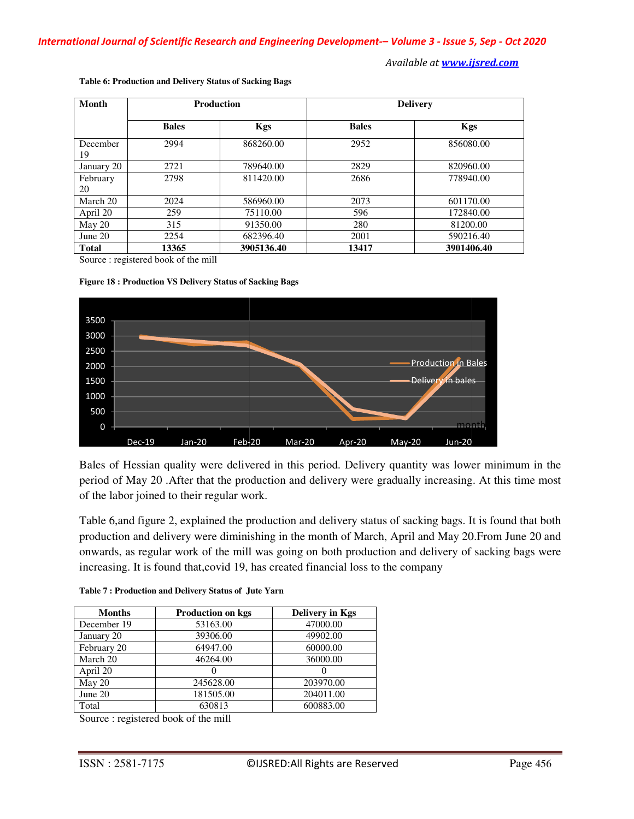| Month          | <b>Production</b> |            | <b>Delivery</b> |            |  |
|----------------|-------------------|------------|-----------------|------------|--|
|                | <b>Bales</b>      | <b>Kgs</b> | <b>Bales</b>    | <b>Kgs</b> |  |
| December<br>19 | 2994              | 868260.00  | 2952            | 856080.00  |  |
| January 20     | 2721              | 789640.00  | 2829            | 820960.00  |  |
| February<br>20 | 2798              | 811420.00  | 2686            | 778940.00  |  |
| March 20       | 2024              | 586960.00  | 2073            | 601170.00  |  |
| April 20       | 259               | 75110.00   | 596             | 172840.00  |  |
| May 20         | 315               | 91350.00   | 280             | 81200.00   |  |
| June $20$      | 2254              | 682396.40  | 2001            | 590216.40  |  |
| <b>Total</b>   | 13365             | 3905136.40 | 13417           | 3901406.40 |  |

**Table 6: Production and Delivery Status of Sacking Bags :** 

Source : registered book of the mill





Bales of Hessian quality were delivered in this period. Delivery quantity was lower minimum in the Bales of Hessian quality were delivered in this period. Delivery quantity was lower minimum in the period of May 20 .After that the production and delivery were gradually increasing. At this time most of the labor joined to their regular work.

of the labor joined to their regular work.<br>Table 6,and figure 2, explained the production and delivery status of sacking bags. It is found that both production and delivery were diminishing in the month of March, April and May 20.From June 20 and production and delivery were diminishing in the month of March, April and May 20.From June 20 and<br>onwards, as regular work of the mill was going on both production and delivery of sacking bags were increasing. It is found that, covid 19, has created financial loss to the company

| <b>Months</b> | Production on kgs | <b>Delivery in Kgs</b> |
|---------------|-------------------|------------------------|
| December 19   | 53163.00          | 47000.00               |
| January 20    | 39306.00          | 49902.00               |
| February 20   | 64947.00          | 60000.00               |
| March 20      | 46264.00          | 36000.00               |
| April 20      |                   |                        |
| May 20        | 245628.00         | 203970.00              |
| June 20       | 181505.00         | 204011.00              |
| Total         | 630813            | 600883.00              |

Source : registered book of the mill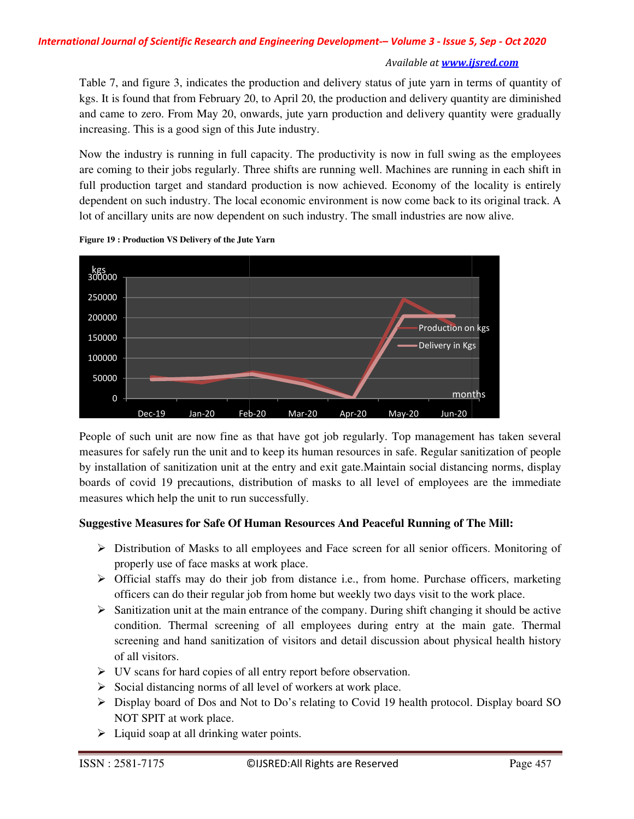Table 7, and figure 3, indicates the production and delivery status of jute yarn in terms of quantity of kgs. It is found that from February 20, to April 20, the production and delivery quantity are diminished and came to zero. From May 20, onwards, jute yarn production and delivery quantity were gradually increasing. This is a good sign of this Jute industry. gure 3, indicates the production and delivery status of jute yarn in terms of quantity of that from February 20, to April 20, the production and delivery quantity are diminished ro. From May 20, onwards, jute yarn producti

Now the industry is running in full capacity. The productivity is now in full swing as the employees Now the industry is running in full capacity. The productivity is now in full swing as the employees are coming to their jobs regularly. Three shifts are running well. Machines are running in each shift in full production target and standard production is now achieved. Economy of the locality is entirely dependent on such industry. The local economic environment is now come back to its original track. A lot of ancillary units are now dependent on such industry. The small industries are now alive. Table 7, and figure 3, indicates the production and delivery status of jute yarn in terms of quantity of kgs. It is found that from February 20, to April 20, the production and delivery quantity are diminished and came to



**Figure 19 : Production VS Delivery of the Jute Yarn Delivery** 

People of such unit are now fine as that have got job regularly. Top management has taken several measures for safely run the unit and to keep its human resources in safe. Regular sanitization of people measures for safely run the unit and to keep its human resources in safe. Regular sanitization of people<br>by installation of sanitization unit at the entry and exit gate.Maintain social distancing norms, display<br>boards of c boards of covid 19 precautions, distribution of masks to all level of employees are the immediate measures which help the unit to run successfully. **Example 18 Example 20 Example 20 Example 20 Example 20 Example 20 Example 20 Example 20 Example 20 Example 20 Example 20 Example 20 Example 20 Example 20 Example 20 Example 20 Example 20**

## **Suggestive Measures for Safe Of Human Resources And Peaceful Running of The Of Human And Peaceful Running of The Mill:**

- > Distribution of Masks to all employees and Face screen for all senior officers. Monitoring of properly use of face masks at work place. properly use of face masks at work
- > Official staffs may do their job from distance i.e., from home. Purchase officers, marketing officers can do their regular job from home but weekly two days visit to the work place.
- $\triangleright$  Sanitization unit at the main entrance of the company. During shift changing it should be active condition. Thermal screening of all employees during entry at the main gate. Thermal screening and hand sanitization of visitors and detail discussion about physical health history of all visitors. officers can do their regular job from<br>Sanitization unit at the main entrance<br>condition. Thermal screening of<br>screening and hand sanitization of<br>of all visitors.<br>UV scans for hard copies of all entr<br>Social distancing norms
- UV scans for hard copies of all entry report before observation.
- $\triangleright$  Social distancing norms of all level of workers at work place.
- $\triangleright$  Display board of Dos and Not to Do's relating to Covid 19 health protocol. Display board SO NOT SPIT at work place.
- $\triangleright$  Liquid soap at all drinking water points.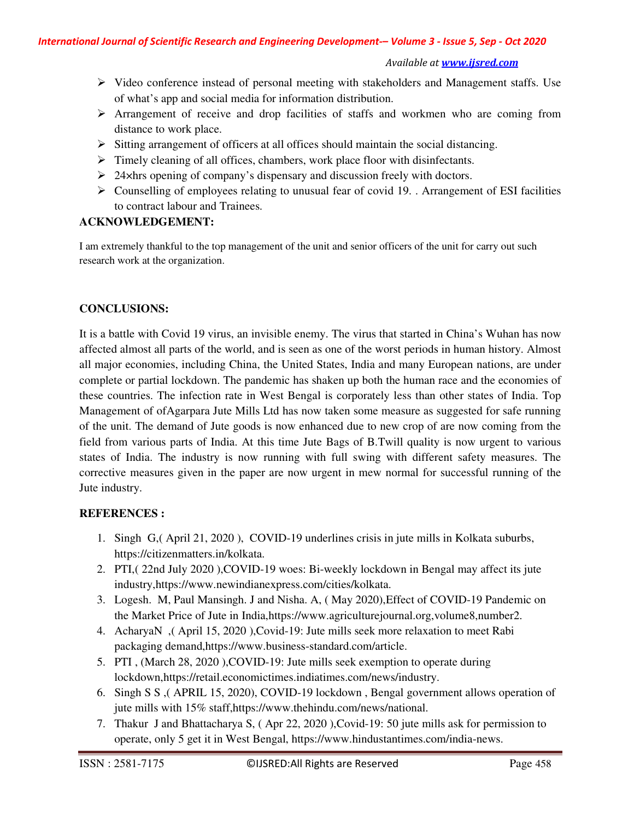- $\triangleright$  Video conference instead of personal meeting with stakeholders and Management staffs. Use of what's app and social media for information distribution.
- $\triangleright$  Arrangement of receive and drop facilities of staffs and workmen who are coming from distance to work place.
- $\triangleright$  Sitting arrangement of officers at all offices should maintain the social distancing.
- Timely cleaning of all offices, chambers, work place floor with disinfectants.
- $\geq$  24×hrs opening of company's dispensary and discussion freely with doctors.
- $\triangleright$  Counselling of employees relating to unusual fear of covid 19. . Arrangement of ESI facilities to contract labour and Trainees.

# **ACKNOWLEDGEMENT:**

I am extremely thankful to the top management of the unit and senior officers of the unit for carry out such research work at the organization.

# **CONCLUSIONS:**

It is a battle with Covid 19 virus, an invisible enemy. The virus that started in China's Wuhan has now affected almost all parts of the world, and is seen as one of the worst periods in human history. Almost all major economies, including China, the United States, India and many European nations, are under complete or partial lockdown. The pandemic has shaken up both the human race and the economies of these countries. The infection rate in West Bengal is corporately less than other states of India. Top Management of ofAgarpara Jute Mills Ltd has now taken some measure as suggested for safe running of the unit. The demand of Jute goods is now enhanced due to new crop of are now coming from the field from various parts of India. At this time Jute Bags of B.Twill quality is now urgent to various states of India. The industry is now running with full swing with different safety measures. The corrective measures given in the paper are now urgent in mew normal for successful running of the Jute industry.

# **REFERENCES :**

- 1. Singh G,( April 21, 2020 ), COVID-19 underlines crisis in jute mills in Kolkata suburbs, https://citizenmatters.in/kolkata.
- 2. PTI,( 22nd July 2020 ),COVID-19 woes: Bi-weekly lockdown in Bengal may affect its jute industry,https://www.newindianexpress.com/cities/kolkata.
- 3. Logesh. M, Paul Mansingh. J and Nisha. A, ( May 2020),Effect of COVID-19 Pandemic on the Market Price of Jute in India,https://www.agriculturejournal.org,volume8,number2.
- 4. AcharyaN ,( April 15, 2020 ),Covid-19: Jute mills seek more relaxation to meet Rabi packaging demand,https://www.business-standard.com/article.
- 5. PTI , (March 28, 2020 ),COVID-19: Jute mills seek exemption to operate during lockdown,https://retail.economictimes.indiatimes.com/news/industry.
- 6. Singh S S ,( APRIL 15, 2020), COVID-19 lockdown , Bengal government allows operation of jute mills with 15% staff,https://www.thehindu.com/news/national.
- 7. Thakur J and Bhattacharya S, ( Apr 22, 2020 ),Covid-19: 50 jute mills ask for permission to operate, only 5 get it in West Bengal, https://www.hindustantimes.com/india-news.